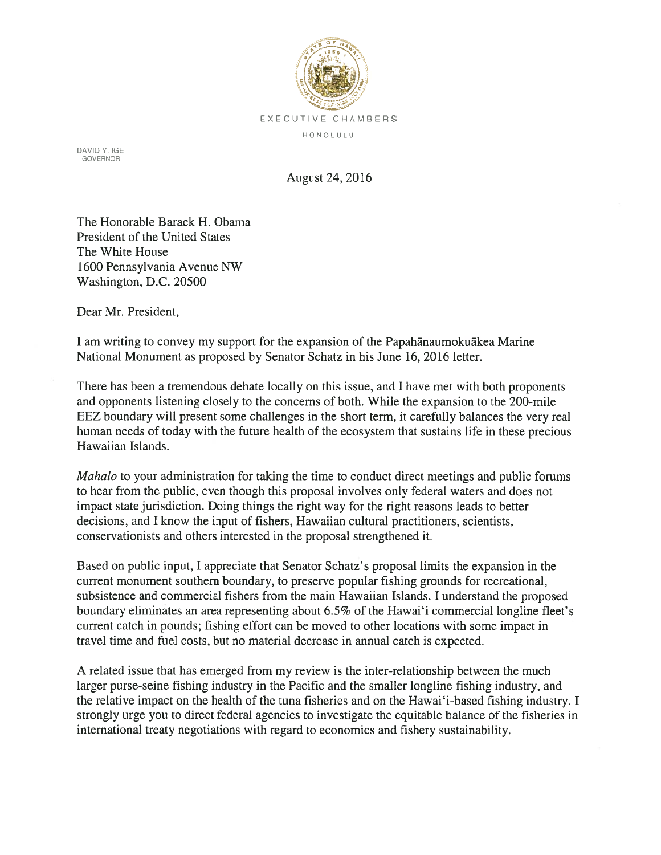

DAVID Y. IGE GOVERNOR

August 24, 2016

The Honorable Barack H. Obama President of the United States The White House 1600 Pennsylvania Avenue NW Washington, D.C. 20500

Dear Mr. President,

I am writing to convey my suppor<sup>t</sup> for the expansion of the Papahanaumokuakea Marine National Monument as proposed by Senator Schatz in his June 16, 2016 letter.

There has been <sup>a</sup> tremendous debate locally on this issue, and I have met with both proponents and opponents listening closely to the concerns of both. While the expansion to the 200-mile EEZ boundary will presen<sup>t</sup> some challenges in the short term, it carefully balances the very real human needs of today with the future health of the ecosystem that sustains life in these precious Hawaiian Islands.

*Mahalo* to your administration for taking the time to conduct direct meetings and public forums to hear from the public, even though this proposal involves only federal waters and does not impact state jurisdiction. Doing things the right way for the right reasons leads to better decisions, and I know the input of fishers, Hawaiian cultural practitioners, scientists, conservationists and others interested in the proposal strengthened it.

Based on public input, I appreciate that Senator Schatz's proposal limits the expansion in the current monument southern boundary, to preserve popular fishing grounds for recreational, subsistence and commercial fishers from the main Hawaiian Islands. I understand the proposed boundary eliminates an area representing about 6.5% of the Hawai'i commercial longline fleet's current catch in pounds; fishing effort can be moved to other locations with some impact in travel time and fuel costs, but no material decrease in annual catch is expected.

A related issue that has emerged from my review is the inter-relationship between the much larger purse-seine fishing industry in the Pacific and the smaller longline fishing industry, and the relative impact on the health of the tuna fisheries and on the Hawai'i-based fishing industry. I strongly urge you to direct federal agencies to investigate the equitable balance of the fisheries in international treaty negotiations with regard to economics and fishery sustainability.